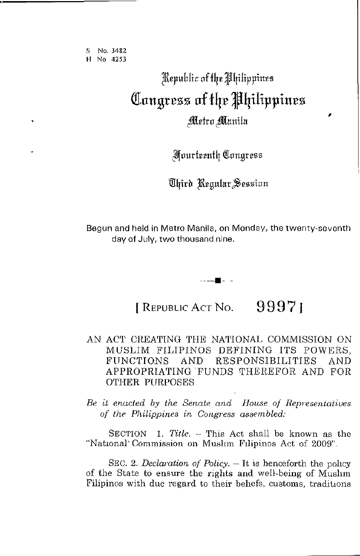S No. **3482 H No 4253** 

# $\mathbb R$ epublic of the *Philippines* QIllu~resS **llf fqe Jqilippiues**  Metro Manila

,

Jlfourfeenflr ([(lngresz

*Uhird Regular Session* 

Begun and held in Metro Manila, on Monday, the twenty-seventh day of July, two thousand nine.

. ----11- -

[ REPUBLIC ACT No. **9997)** 

## AN ACT CREATING THE NATIONAL COMMISSION ON MUSLIM FILIPINOS DEFINING ITS POWERS, FUNCTIONS AND RESPONSIBILITIES AND APPROPRIATING 'FUNDS THEREFOR AND FOR OTHER PURPOSES

*Be it enacted by the Senate and Honse of Representatives 0/ the Philippines in Congress assembled:* 

SECTION 1. *Title.* -- This Act shall be known as the "National' Commission on Muslim Filipinos Act of 2009".

SEC. 2. *Declaration of Policy.*  $-$  It is henceforth the policy of the State to ensure the rights and well-being of Mushm Filipinos with due regard to their behefs, customs, traditions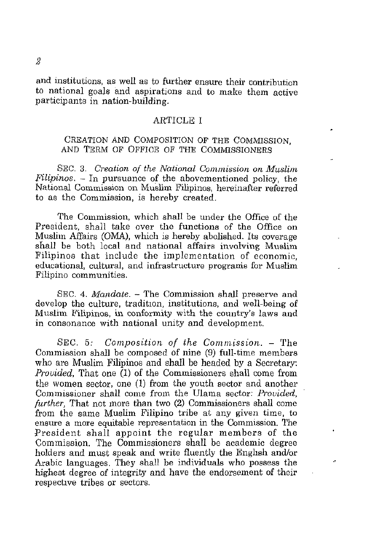and institutions, as well as to further ensure their contribution to national goals and aspirations and to make them active participants in nation-building.

## **ARTICLE I**

## CREATION AND COMPOSITION OF THE COMMISSION, AND TERM OF OFFICE OF THE COMMISSIONERS

SEC. 3. *Creation of the National Commission on Muslim Filipinos.* - In pursuance of the abovementioned policy, the National Commission on Muslim Filipinos, hereinafter referred to as the Commission, is hereby created.

The Commission, which shall be under the Office of the President, shall take over the functions of the Office on Muslim Affairs (OMA), which is hereby abolished. Its coverage shall be both local and national affairs involving Muslim Filipinos that include the implementation of economic, **educational, cultural, and infrastructure programs for Muslim Filipino communities.** 

SEC. 4. *Mandate.* - The Commission shall preserve and develop the culture, tradition, institutions, and well-being of Muslim Filipinos, in conformity with the country's laws and in consonance with national unity and development.

SEC. 5: *Composition of the Commission.* - The Commission shall be composed of nine (9) full-time members who are Muslim Filipinos and shall be headed by a Secretary: *Provided*, That one (1) of the Commissioners shall come from the women sector, one (1) from the youth sector and another Commissioner shall come from the Ulama sector: *Provided, further.* That not more than two (2) Commissioners shall come from the same Muslim Filipino tribe at any given time, to ensure a more equitable representation in the Commission. The President shall appoint the regular members of the Commission. The Commissioners shall be academic degree holders and must speak and write fluently the English and/or Arabic languages. They shall be individuals who possess the highest degree of integrity and have the endorsement of their respective tribes or sectors.

 $\ddot{\mathbf{r}}$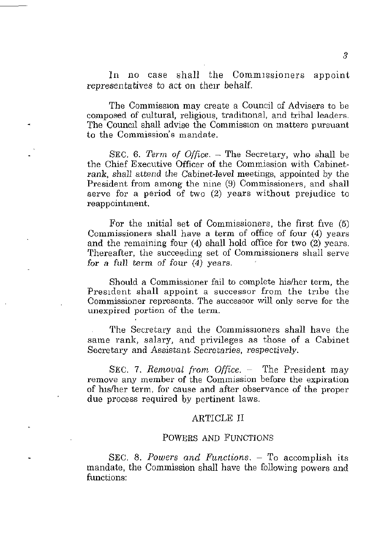In no case shall the Commissioners appoint representatives to act on their behalf.

The Commission may create a Council of Advisers to be composed of cultural, religious, traditional, and tribal leaders. The Council shall advise the Commission on matters pursuant to the Commission's mandate.

SEC. 6. *Term of Office.* – The Secretary, who shall be the Chief Executive Officer of the Commission with Cabinetrank, shall attend the Cabinet-level meetings, appointed by the President from among the nine (9) Commissioners, and shall serve for a period of two (2) years without prejudice to reappointment.

For the mitial set of Commissioners, the first five (5) Commissioners shall have a term of office of four (4) years and the remaining four  $(4)$  shall hold office for two  $(2)$  years. Thereafter, the succeeding set of Commissioners shall serve for a full term of four  $(4)$  years.

Should a Commissioner fail to complete hislher term, the President shall appoint a successor from the tribe the **Commissioner represents. The successor will only serve for the unexpired portion of the term.** 

The Secretary and the Commissioners shall have the same rank, salary, and privileges as those of a Cabinet Secretary and Assistant *Secretaries,* respectively.

SEC. 7. *Removal from Office.* – The President may **remove any member of the Commission before the expiration**  of luslher term, for cause and after observance of the proper due process required by pertinent laws.

#### ARTICLE II

### POWERS AND FUNCTIONS

SEC. 8. *Powers and Functions.* - To accomplish its mandate, the Commission shall have the following powers and functions: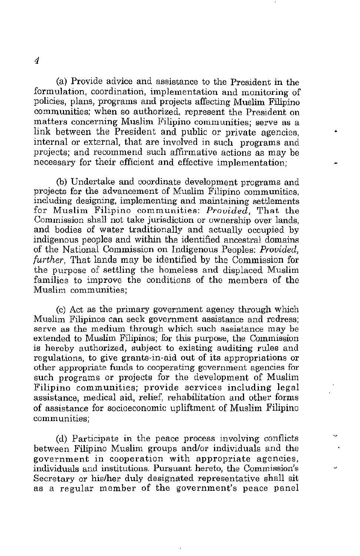(a) Provide advice and assistance to the President in the **formulation, coordinatiori, implementation and monitoring of**  policies, plans, programs and projects affecting Muslim Filipino **communities; when so authorized, represent the President on matters concerning Muslim Filipino communities; serve as a**  link between the President and public or private agencies, internal or external, that are involved in such programs and projects; and recommend such affirmative actions as may be necessary for their efficient and effective implementation;

(b) Undertake and coordinate development programs and **projects for the advancement of Muslim Filipino communities, including designing, implementing and maintaining settlements**  for Muslim Filipino communities: *Provided,* That the Commission shall not take jurisdiction or ownership over lands, and bodies of water traditionally and actually occupied by indigenous peoples and within the identified ancestral domains of the National Commission on Indigenous Peoples: *Provided, further,* That lands may *be* identified by the Commission for the purpose of settling the homeless and displaced Muslim families to improve the conditions of the members of the **Muslim communities;** 

(c) Act as the primary government agency through which **Muslim Filipinos can seek government assistance and redress;**  serve as the medium through which such assistance may be extended to Muslim Filipinos; for this purpose, the Commission **is hereby authorized, subject to existing auditing rules and regulations, to give grants-in-aid out of its appropriations or other appropriate funds to cooperating government agencies for**  such programs or projects for the development of Muslim Filipino communities; provide services including legal assistance, medical aid, relief, rehabilitation and other forms of assistance for socioeconomic upliftment of Muslim Filipino **comm unities;** 

(d) Participate in the peace process involving conflicts between Filipino Muslim groups and/or individuals and the **government in cooperation with appropriate agencies, individuals and institutions. Pursuant hereto) the Commission's**  Secretary or his/her duly designated representative shall sit **as a regular member of the government's peace panel**  ų,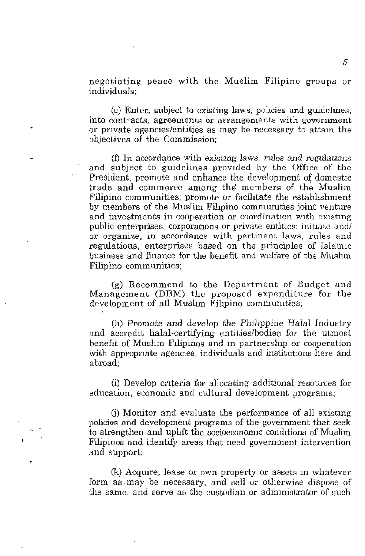negotiating peace with the Muslim Filipino groups or **individuals;** 

(e) Enter, subject to existing laws, pohcies and guidelmes, **into contracts, agreements or arrangements with government**  or private agencies/entities as may be necessary to attam the objectives of the Commission;

(f) In accordance with existing laws, *rules* and *regulations* and subject to guidelines provided by the Office of the President, promote and enhance the development of domestic trade and commerce among the members of the Muslim Filipino communities; promote or facilitate the establishment by members of the Muslim Filipino communities joint venture and investments in cooperation or coordination with existing public enterprises, corporations or private entities; initiate and/ **or organize, in accordance with pertinent laws, rules and**  regulations, enterprises based on the principles of Islamic business and finance for the benefit and welfare of the Mushm **Filipino communities;** 

(g) Recommend to the Department of Budget and Management (DBM) the proposed expenditure for the development of all Muslim Filipino communities;

(h) Promote and develop the Philippine Halal Industry and accredit halal-certifying entities/bodies for the utmost benefit of Muslim Filipinos and in partnership or cooperation with appropriate agencies, individuals and institutions here and abroad;

(i) Develop CrIteria for allocating additional resources for education, economic and cultural development programs;

G) Monitor and evaluate the performance of all existmg policies and development programs of the government that seek to strengthen and uplift the socioeconomic conditions of Muslim Filipinos and identify areas that need government intervention and support;

(k) Acquire, lease or own property or assets m whatever form as may be necessary, and sell or otherwise dispose of the same, and serve as the custodian or administrator of such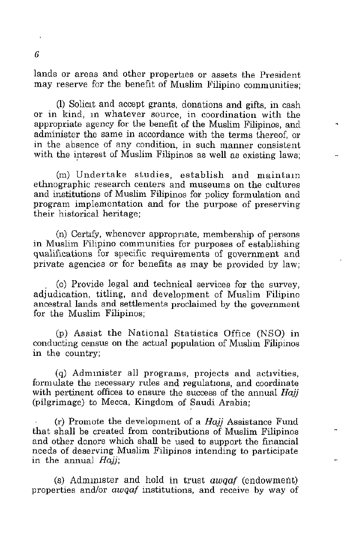lands or areas and other properties or assets the President may reserve for the benefit of Muslim Filipino communities;

(I) Solicit and accept grants, donations and gifts, in cash or in kind, m whatever source, in coordination with the appropriate agency for the benefit of the Muslim Filipinos, and administer the same in accordance with the terms thereof, or in the absence of any condition, in such manner consistent with the interest of Muslim Filipinos as well as existing laws:

(m) Undertake studies, establish and maintam ethnographic research centers and museums on the cultures and institutions of Muslim Filipinos for policy formulation and program implementation and for the purpose of preserving their historical heritage;

(n) Certify, whenever appropriate, membership of persons in Muslim Filipino communities for purposes of establishing qualifications for specific requirements of government and private agencies or for benefits as may be provided by law;

. (0) Provide legal and technical services for the survey, adjudication, titling, and development of Muslim Filipino ancestral lands and settlements proclaimed by the government for the Muslim Filipinos;

(p) Assist the National Statistics Office (NSO) in conducting census on the actual population of Muslim Filipinos in the country;

 $(q)$  Administer all programs, projects and activities, formulate the necessary rules and regulations, and coordinate with pertinent offices to ensure the success of the annual Hajj (pilgrimage) to Mecca, Kingdom of Saudi Arabia;

(r) Promote the development of a Hajj Assistance Fund that shall be created from contributions of Muslim Filipinos and other donors which shall be used to support the financial needs of deserving Muslim Filipinos intending to participate in the annual  $Hajj$ ;

(s) Administer and hold in trust *awqaf* (endowment) properties andlor *awqaf* institutions, and receive by way of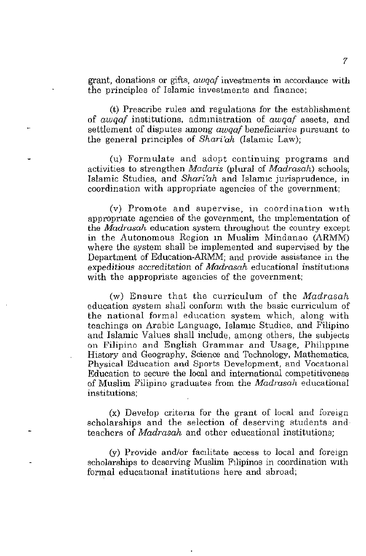grant, donations or gifts, *awqaf* investments in accordance with **the principles of Islamic investments and fiaance;** 

(t) Prescribe rules and regulations for the establishment of *awqaf* institutions, admmistration of *awqaf* assets, and settlement of disputes among *awqaf* beneficiaries pursuant to the general principles of *Shari'ah* (Islamic Law);

(u) Formulate and adopt continuing programs and activities to strengthen *Madaris* (plural of *Madrasah)* schools; Islamic Studies, and *Shari'ah* and Islamic jurisprudence, in coordination with appropriate agencies of the government;

**(v) Promote and supervise, in coordination wlth**  appropriate agencies of the government, the implementation of the *Madrasah* education system throughout the country except in the Autonomous Region m Muslim Mindanao (ARMM) where the system shall be implemented and supervised by the Department of Education-ARMM; and provide assistance in the expeditious accreditation of *Madrasah* educational institutions with the appropriate agencies of the government;

(w) Ensure that the curriculum of the *Madrasah*  education system shall conform WIth the basic curriculum of the national formal education system which, along with teachings on Arabic Language, Islamic Studies, and Filipino and Islamic Values shall include, among others, the subjects on Filipino and English Grammar and Usage, Phihppme History and Geography, Science and Technology, Mathematics, Physical Education and Sports Development, and Vocational Education to secure the local and international competitiveness of Muslim Filipino graduates from the *Madrasah* educational **institutions;** 

(x) Develop critena for the grant of local and foreign scholarships and the selection of deserving students and teachers of *Madrasah* and other educational institutions;

(y) Provide and/or facIlitate access to local and foreign scholarships to deserving Muslim Filipinos in coordination with formal educational institutions here and abroad;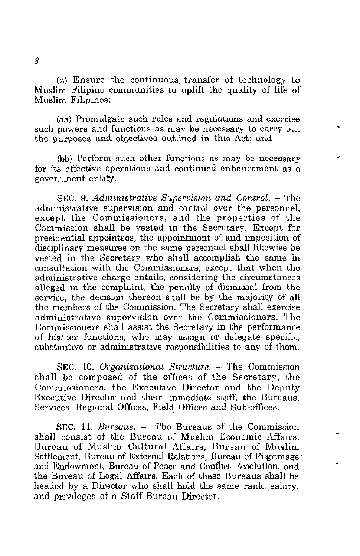(z) Ensure the continuous. transfer of technology to Muslim Filipino communities to uplift the quality of life of **Muslim Filipinos;** 

(aa) Promulgate such rules and regulations and exercise such powers and functions as may be necessary to carry out the purposes and objectives outlined in this Act; and

(bb) Perform such other functions as may be necessary **for its effective operations and continued enhancement as a**  government entity.

SEC. 9. *Administrative Supervision and Control.* - The administrative supervision and control over the personnel, except the Commissioners, and the properties of the Commission shall be vested in the Secretary. Except for presidential appointees, the appointment of and imposition of disciplinary measures on the same personnel shall likewise be vested in the Secretary who shall accomplish the same in consultation with the Commissioners, except that when the **administrative charge entails, considering the circumstances**  alleged in the complaint, the penalty of dismissal from the service, the decision thereon shall be by the majority of all the members of the Commission. The Secretary shall exercise **administrative supervision over the Commissioners. The**  Commissioners shall assist the Secretary in the performance of his/her functions, who may assign or delegate specific, substantive or administrative responsibilities to any of them.

SEC. 10. *Organizational Structure.* – The Commission shall be composed of the offices of the Secretary, the Commissioners, the Executive Director and the Deputy Executive Director and their immediate staff, the Bureaus, Services, Regional Offices, Field Offices and Sub-offices.

SEC. **11.** *Bureaus.* - The Bureaus of the Commission shall consist of the Bureau of Muslim Economic Affairs, Bureau of Muslim Cultural Affairs, Bureau of Muslim Settlement, Bureau of External Relations, Bureau of Pilgrimage' and Endowment, Bureau of Peace and Conflict Resolution, and the Bureau of Legal Affairs. Each of these Bureaus shall be headed by a Director who shall hold the same rank, salary, and privileges of a Staff Bureau Director.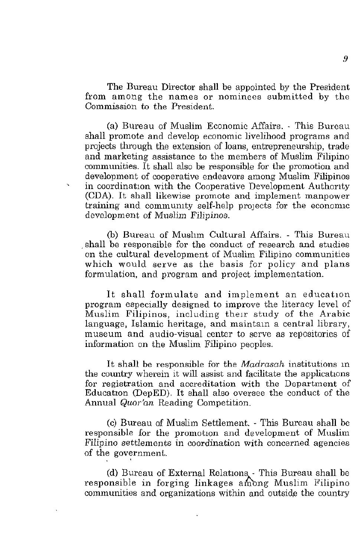The Bureau Director shall be appointed by the President **from among the names or nominees submitted by the Commission to the President.** 

(a) Bureau of Muslim Economic Mfairs. - This Bureau shall promote and develop economic livelihood programs and projects through the extension of loans, entrepreneurship, trade and marketing assistance to the members of Muslim Filipino communities. It shall also be responsible for the promotion and **development of cooperative endeavors among Muslim Filipinos**  in coordination with the Cooperative Development Authority (CDA). **It** shall likewise promote and implement manpower training and community self-help projects for the economic development of Muslim Filipinos.

(b) Bureau of Mushm Cultural Affairs. - This Bureau . shall be responsible for the conduct of research and studies on the cultural development of Muslim Filipino communities which would serve as the basis for policy and plans formulation, and program and project implementation.

It shall formulate and implement an education program especially designed to improve the literacy level of Muslim Filipinos, including their study of the Arabic language, Islamic heritage, and maintain a central library, museum and audio-visual center to serve as repositories of information on the Muslim Filipino peoples.

It shall be responsible for the *Madrasah* institutions m the country wherein it will assist and facilitate the applications **for registration and accreditation with the Department of**  Education (DepED). It shall also oversee the conduct of the Annual *Quot'an* Reading Competition.

(c) Bureau of Muslim Settlement. - This Bureau shall be responsible for the promotion and development of Muslim **Filipino settlements in coordination with concerned agencies**  of the government.

(d) Bureau of External Relations, This Bureau shall be responsible in forging linkages among Muslim Filipino communities and organizations within and outside the country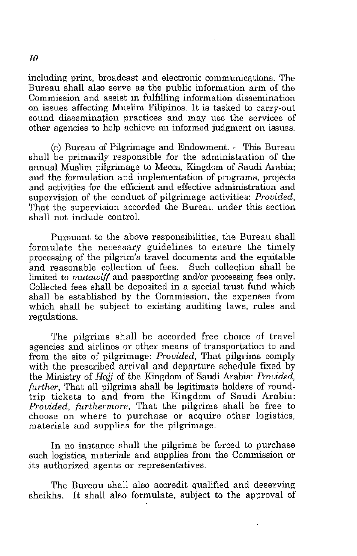including print, broadcast and electronic communications. The Bureau shall also serve as the public information arm of the Commission and assist m fulfilling information dissemination on issues affecting Muslim Filipinos. It is tasked to carry-out **sound dissemination practices and may use the services of**  other agencies to help achieve an informed judgment on issues.

(e) Bureau of Pilgrimage and Endowment. - This Bureau shall be primarily responsible for the administration of the annual Muslim pilgrimage to Mecca, Kingdom of Saudi Arabia; and the formulation and implementation of programs, projects and activities for the efficient and effective administration and supervision of the conduct of pilgrimage activities: *Provided,*  That the supervision accorded the Bureau under this section shall not include control.

Pursuant to the above responsibilities, the Bureau shall formulate the necessary guidelines to ensure the timely processing of the pilgrim's travel documents and the equitable and reasonable collection of fees. Such collection shall be limited to *mutawiff* and passporting and/or processing fees only. Collected fees shall be deposited in a special trust fund which shall be established by the Commission, the expenses from which shall be subject to existing auditing laws, rules and regulations.

The pilgrims shall be accorded free choice of travel agencies and airlines or other means of transportation to and from the site of pilgrimage: *Provided,* That pilgrims comply with the prescribed arrival and departure schedule fixed by the Ministry of *Hajj* of the Kingdom of Saudi Arabia: *Provided, further,* That all pilgrims shall be legitimate holders of roundtrip tickets to and from the Kingdom of Saudi Arabia: *Provided, furthermore,* That the pilgrims shall be free to choose on where to purchase or acquire other logistics, materials and supplies for the pilgrimage.

In no instance shall the pilgrims be forced to purchase such logistics, materials and supplies from the Commission or ·its authorized agents or representatives.

The Bureau shall also accredit qualified and deserving sheikhs. It shall also formulate, subject to the approval of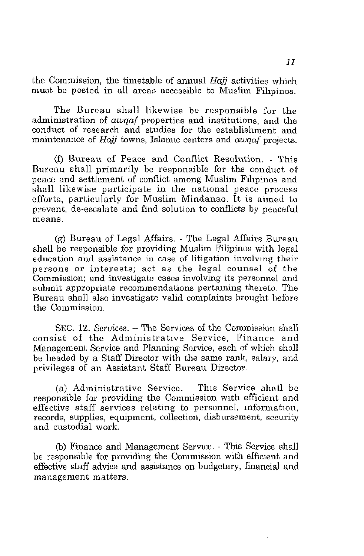the Commission, the timetable of annual *Hajj* activities which **must be posted in all areas accessible to Muslim Filipinos.** 

The Bureau shall likewise be responsible for the **administration of** *awqaf* **properties and institutions, and the**  conduct of research and studies for the establishment and **maintenance of** *Hajj* **towns, Islamlc centers and** *awqaf* **projects.** 

(f) Bureau of Peace and Conflict Resolution. - This Bureau shall primarily be responsible for the conduct of peace and settlement of conflict among Muslim Flbpinos and shall likewise participate in the national peace process efforts, particularly for Muslim Mindanao. It is aimed to prevent, de-escalate and find solution to conflicts by peaceful **means.** 

(g) Bureau of Legal Affairs. - The Legal Affairs Bureau shall be responsible for providing Muslim Filipinos with legal education and assistance in case of litigation involving their **persons or interests; act as the legal counsel of the Commission; and investigate cases involving its personnel and**  submit appropriate recommendations pertaining thereto. The Bureau shall also investigate valid complaints brought before the Commission.

SEC. 12. *Services.* - The Services of the Commission shall consist of tbe Administrative Service, Finance and Management Service and Planning Service, each of which shall be headed by a Staff Director with the same rank, salary, and privileges of an Assistant Staff Bureau Director.

(a) Administrative Service. - This Service shall be responsible for providing the Commission with efficient and effective staff services relating to personnel, information, records, supplies, equipment, collection, disbursement, security and custodial work.

(b) Finance and Management Service. - This Service shall be responsible for providing the Commission with efficient and effective staff advice and assistance on budgetary, financial and management matters.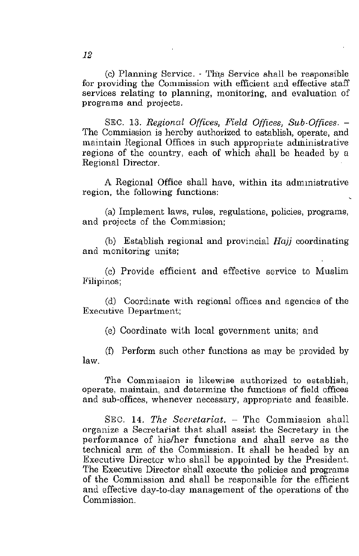(c) Planning Service. - Th,s Service shall be responsible for providing the Commission with efficient and effective staff services relating to planning, monitoring, and evaluation of **programs and projects.** 

SEC. 13. *Regional Offices, Field Offices, Sub-Offices. -* The Commission is hereby authorized to establish, operate, and maintain Regional Offices in such appropriate administrative regions of the country, each of which shall be headed by a Regional Director.

A Regional Office shall have, within its admmistrative **region, the following functions:** 

(a) Implement laws, rules, regulations, policies, programs, and projects of the Commission;

(b) Establish regional and provincial  $Hai$  coordinating **and monitoring units;** 

(c) Provide efficient and effective service to Muslim **Filipinos;** 

(d) Coordinate with regional offices and agencies of the **Executive Department;** 

(e) Coordinate with local government units; and

(I) Perform such other functions as may be provided by law.

**The Commission is likewise authorized to establish, operate, maintain, and determine the functions of field offices**  and sub-offices, whenever necessary, appropriate and feasible.

SEC. 14. *The Secretariat.* - The Commission shall organize a Secretariat that shall assist the Secretary in the performance of his/her functions and shall serve as the technical arm of the Commission. It shall be headed by an Executive Director who shall be appointed by the President. The Executive Director shall execute the policies and programs of the Commission and shall be responsible for the efficient and effective day-to-day management of the operations of the Commission.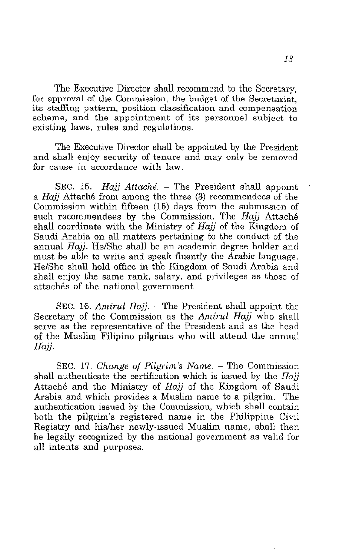The Executive Director shall recommend to the Secretary, for approval of the Commission, the budget of the Secretariat, **its staffing pattern, position classification and compensation scheme, and the appointment of its personnel subject to**  existing laws, rules and regulations.

The Executive Director shall be appointed by the President and shall enjoy security of tenure and may only be removed **for cause in accordance with law.** 

SEC. 15. Hajj Attaché.  $-$  The President shall appoint a Hajj Attache from among the three (3) recommendees of the Commission within fifteen  $(15)$  days from the submission of such recommendees by the Commission. The Hajj Attaché shall coordinate with the Ministry of  $Haij$  of the Kingdom of Saudi Arabia on all matters pertaining to the conduct of the annual Hajj. He/She shall be an academic degree holder and must be able to write and speak fluently the Arabic language. HelShe shall hold office in the Kingdom of Saudi Arabia and shall enjoy the same rank, salary, and privileges as those of attachés of the national government.

SEC. 16. Amirul Hajj.  $-$  The President shall appoint the Secretary of the Commission as the  $Amirul Haji$  who shall serve as the representative of the President and as the head of the Muslim Filipino pilgrims who will attend the annual Haii.

SEC. 17. Change of Pilgrim's Name. - The Commission shall authenticate the certification which is issued by the  $Haii$ Attaché and the Ministry of Hajj of the Kingdom of Saudi Arabia and which provides a Muslim name to a pilgrim. The authentication issued by the Commission, which shall contain both the pilgrim's registered name in the Philippine Civil Registry and hislher newlY-Issued Muslim name, shall then be legally recognized by the national government as valid for all intents and purposes.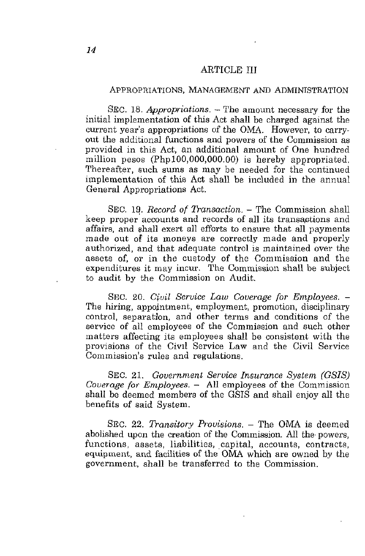## **ARTICLE III**

#### ApPROPRIATIONS, MANAGEMENT AND ADMINISTRATION

SEC. 18. *Appropriations.* – The amount necessary for the initial implementation of this Act shall be charged against the current year's appropriations of the OMA. However, to carryout the additional functions and powers of the Commission as provided in this Act, an additional amount of One hundred million pesos (PhplOO,OOO,OOO.OO) is hereby appropriated. Thereafter, such sums as may be needed for the continued implementation of this Act shall be included in the annual General Appropriations Act.

SEC. 19. *Record of Transaction.* - The Commission shall keep proper accounts and records of all its transactions and affairs, and ehall exert all efforts to ensure that all payments made out of its moneys are correctly made and properly authorized, and that adequate control is maintained over the assets of, or in the custody of the Commission and the expenditures it may incur. The Commission shall be subject to audit by the Commission on Audit.

SEC. 20. *Civil Service Law Coverage for Employees. -* The hiring, appointment, employment, promotion, disciplinary control, separation, and other terms and conditions of the service of all employees of the Commission and such other matters affecting its employees shall be consistent with the provisions of the CiVIl Service Law and the Civil Service **Commission's rules and regulations.** 

SEC. 21. *Government Service Insurance System (GSIS) Coverage for Employees.* - All employees of the Commission shall be deemed members of the GSIS and shall enjoy all the benefits of said System.

SEC. 22. *Transitory Provisions.* - The OMA is deemed abolished upon the creation of the Commission. All the powers, functions, assets, liabilities, capital, accounts, contracts, equipment, and facilities of the OMA which are owned by the government, shall be transferred to the Commission.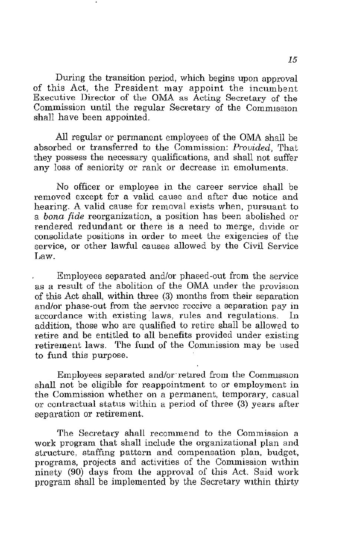During the transition period, which begins upon approval of this Act, the President may appoint the incumbent Executive Director of the OMA as Acting Secretary of the Commission until the regular Secretary of the Commission shall have been appointed.

All regular or permanent employees of the OMA shall be absorbed or transferred to the Commission: *Provided,* That they possess the necessary qualifications, and shall not suffer **any loss of seniority or rank or decrease in emoluments.** 

No officer or employee in the career service shall be **removed except for a valid cause and after due notice and**  hearing. A valid cause for removal exists when, pursuant to a *bona fide* reorganization, a position has been abolished or rendered redundant or there is a need to merge, divide or **consolidate positions in order to meet the exigencies of the**  service, or other lawful causes allowed by the Civil Service Law.

Employees separated andlor phased-out from the service as a result of the abolition of the OMA under the provision of this Act shall, within three (3) months from their separation and/or phase-out from the service receive a separation pay in **accordance with existing' laws, rules and regulations. In**  addition, those who are qualified to retire shall be allowed to retire and be entitled to all benefits provided under existing retirement laws. The fund of the Commission may be used to fund this purpose.

Employees separated and/or retired from the Commission shall not be eligible for reappointment to or employment in the Commission whether on a permanent, temporary, casual or contractual status within a period of three (3) years after separation or retirement.

The Secretary shall recommend to the Commission a work program that shall include the organizational plan and **structure, staffIng pattern and compensation plan, budget,**  programs, projects and activities of the Commission WIthin ninety (90) days from the approval of this Act. Said work program shall be implemented by the Secretary WIthin thirty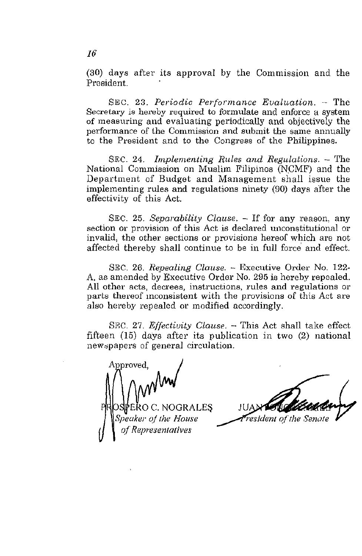(30) days after its approval by the Commission and the President.

SEC. 23. *Periodic Performance Evaluation.* - The Secretary is hereby required to formulate and enforce a system of measuring and evaluating periodically and objectively the performance of the Commission and submit the same annually to the President and to the Congress of the Philippines.

SEC. 24. *Implementing Rules and Regulations.* - The National Commission on Muslim Filipinos (N.CMF) and the Department of Budget and Management shall issue the implementing rules and regulations ninety (90) days after the effectivity of this Act.

SEC. 25. *Separability Clause.* - If for any reason, any **section or provision of this Act is declared unconstitutional or**  invalid, the other sections or provisions hereof which are not affected thereby shall continue to be in full force' and effect.

SEC. 26. *Repealing Clause.* - Executive Order No. 122- A, as amended by Executive Order No. 295 is hereby repealed. **All other acts, decrees, instructions, rules and regulations or**  parts thereof mconsistent with the provisions of this Act are also hereby repealed or modified accordingly.

SEC. 27. *Effectivity Clause*. - This Act shall take effect fifteen  $(15)$  days after its publication in two  $(2)$  national **l1eWdpapers of general circulation.** 

Approved PRIOSIPERO C. NOGRALES -*Speaker oj the House q/,Representatives* 

resident of the Sena

16